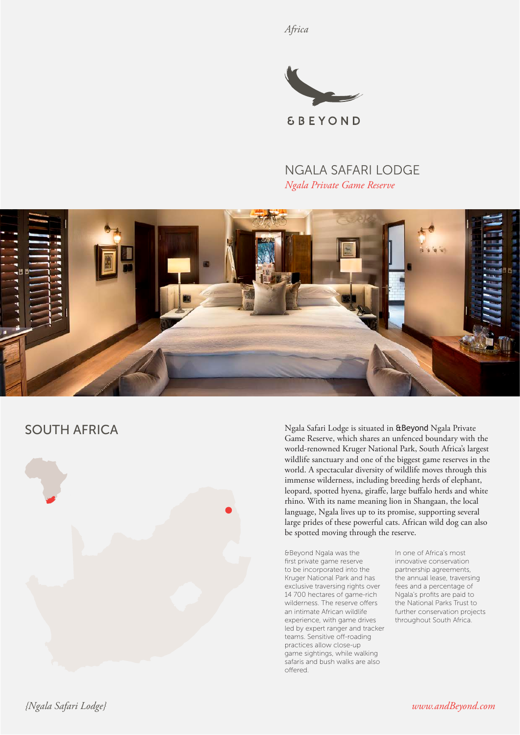*Africa*



# NGALA SAFARI LODGE *Ngala Private Game Reserve*



# SOUTH AFRICA



Ngala Safari Lodge is situated in &Beyond Ngala Private Game Reserve, which shares an unfenced boundary with the world-renowned Kruger National Park, South Africa's largest wildlife sanctuary and one of the biggest game reserves in the world. A spectacular diversity of wildlife moves through this immense wilderness, including breeding herds of elephant, leopard, spotted hyena, giraffe, large buffalo herds and white rhino. With its name meaning lion in Shangaan, the local language, Ngala lives up to its promise, supporting several large prides of these powerful cats. African wild dog can also be spotted moving through the reserve.

&Beyond Ngala was the first private game reserve to be incorporated into the Kruger National Park and has exclusive traversing rights over 14 700 hectares of game-rich wilderness. The reserve offers an intimate African wildlife experience, with game drives led by expert ranger and tracker teams. Sensitive off-roading practices allow close-up game sightings, while walking safaris and bush walks are also offered.

In one of Africa's most innovative conservation partnership agreements, the annual lease, traversing fees and a percentage of Ngala's profits are paid to the National Parks Trust to further conservation projects throughout South Africa.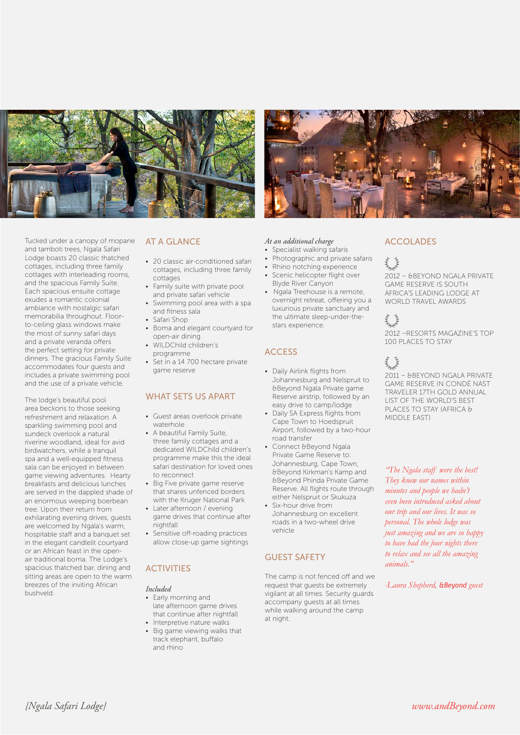

Tucked under a canopy of mopane and tamboti trees, Ngala Safari Lodge boasts 20 classic thatched cottages, including three family cottages with interleading rooms, and the spacious Family Suite. Each spacious ensuite cottage exudes a romantic colonial ambiance with nostalgic safari memorabilia throughout. Floorto-ceiling glass windows make the most of sunny safari days and a private veranda offers the perfect setting for private dinners. The gracious Family Suite accommodates four guests and includes a private swimming pool and the use of a private vehicle.

The lodge's beautiful pool area beckons to those seeking refreshment and relaxation. A sparkling swimming pool and sundeck overlook a natural riverine woodland, ideal for avid birdwatchers, while a tranquil spa and a well-equipped fitness sala can be enjoyed in between game viewing adventures. Hearty breakfasts and delicious lunches are served in the dappled shade of an enormous weeping boerbean tree. Upon their return from exhilarating evening drives, guests are welcomed by Ngala's warm, hospitable staff and a banquet set in the elegant candlelit courtyard or an African feast in the openair traditional boma. The Lodge's spacious thatched bar, dining and sitting areas are open to the warm breezes of the inviting African bushveld.

### AT A GLANCE

- 20 classic air-conditioned safari cottages, including three family cottages
- Family suite with private pool and private safari vehicle
- Swimming pool area with a spa and fitness sala
- Safari Shop
- Boma and elegant courtyard for open-air dining
- WILDChild children's programme
- Set in a 14 700 hectare private game reserve

#### WHAT SETS US APART

- Guest areas overlook private waterhole
- A beautiful Family Suite, three family cottages and a dedicated WILDChild children's programme make this the ideal safari destination for loved ones to reconnect
- Big Five private game reserve that shares unfenced borders with the Kruger National Park
- Later afternoon / evening game drives that continue after nightfall
- Sensitive off-roading practices allow close-up game sightings

#### **ACTIVITIES**

#### *Included*

- Early morning and late afternoon game drives that continue after nightfall
- Interpretive nature walks • Big game viewing walks that track elephant, buffalo and rhino

#### *At an additional charge*

- Specialist walking safaris
- Photographic and private safaris
- Rhino notching experience
- Scenic helicopter flight over Blyde River Canyon
- Ngala Treehouse is a remote, overnight retreat, offering you a luxurious private sanctuary and the ultimate sleep-under-thestars experience.

### **ACCESS**

- Daily Airlink flights from Johannesburg and Nelspruit to &Beyond Ngala Private game Reserve airstrip, followed by an easy drive to camp/lodge
- Daily SA Express flights from Cape Town to Hoedspruit Airport, followed by a two-hour road transfer
- Connect &Beyond Ngala Private Game Reserve to: Johannesburg, Cape Town, &Beyond Kirkman's Kamp and &Beyond Phinda Private Game Reserve. All flights route through either Nelspruit or Skukuza
- Six-hour drive from Johannesburg on excellent roads in a two-wheel drive vehicle

### GUEST SAFETY

The camp is not fenced off and we request that guests be extremely vigilant at all times. Security guards accompany guests at all times while walking around the camp at night.

### ACCOLADES

2012 – &BEYOND NGALA PRIVATE GAME RESERVE IS SOUTH AFRICA'S LEADING LODGE AT WORLD TRAVEL AWARDS

2012 –RESORTS MAGAZINE'S TOP 100 PLACES TO STAY

# **March**

2011 – &BEYOND NGALA PRIVATE GAME RESERVE IN CONDÉ NAST TRAVELER 17TH GOLD ANNUAL LIST OF THE WORLD'S BEST PLACES TO STAY (AFRICA & MIDDLE EAST)

*"The Ngala staff were the best! They knew our names within minutes and people we hadn't even been introduced asked about our trip and our lives. It was so personal. The whole lodge was just amazing and we are so happy to have had the four nights there to relax and see all the amazing animals."*

*-Laura Shepherd, &Beyond guest*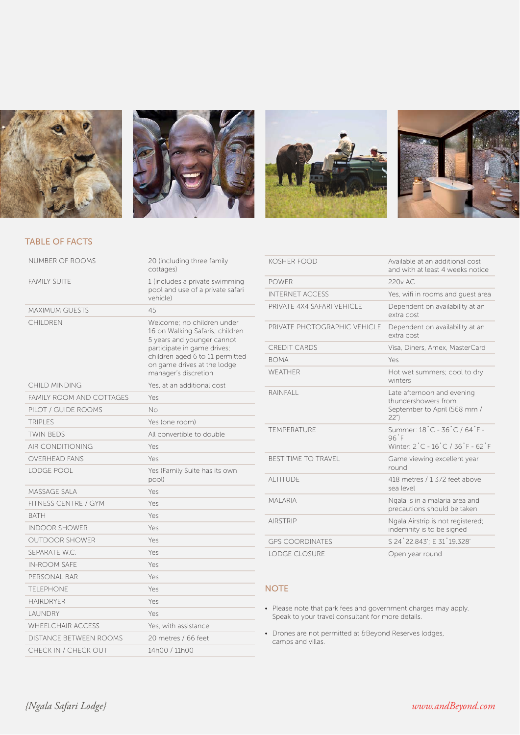







## TABLE OF FACTS

| NUMBER OF ROOMS                 | 20 (including three family<br>cottages)                                                                                                                                                                              |
|---------------------------------|----------------------------------------------------------------------------------------------------------------------------------------------------------------------------------------------------------------------|
| <b>FAMILY SUITE</b>             | 1 (includes a private swimming<br>pool and use of a private safari<br>vehicle)                                                                                                                                       |
| <b>MAXIMUM GUESTS</b>           | 45                                                                                                                                                                                                                   |
| CHII DREN                       | Welcome: no children under<br>16 on Walking Safaris; children<br>5 years and younger cannot<br>participate in game drives;<br>children aged 6 to 11 permitted<br>on game drives at the lodge<br>manager's discretion |
| CHILD MINDING                   | Yes, at an additional cost                                                                                                                                                                                           |
| <b>FAMILY ROOM AND COTTAGES</b> | Yes                                                                                                                                                                                                                  |
| PILOT / GUIDE ROOMS             | No                                                                                                                                                                                                                   |
| <b>TRIPLES</b>                  | Yes (one room)                                                                                                                                                                                                       |
| <b>TWIN BEDS</b>                | All convertible to double                                                                                                                                                                                            |
| <b>AIR CONDITIONING</b>         | Yes                                                                                                                                                                                                                  |
| <b>OVERHEAD FANS</b>            | Yes                                                                                                                                                                                                                  |
| LODGE POOL                      | Yes (Family Suite has its own<br>pool)                                                                                                                                                                               |
| MASSAGE SALA                    | Yes                                                                                                                                                                                                                  |
| <b>FITNESS CENTRE / GYM</b>     | Yes                                                                                                                                                                                                                  |
| <b>BATH</b>                     | Yes                                                                                                                                                                                                                  |
| <b>INDOOR SHOWER</b>            | Yes                                                                                                                                                                                                                  |
| <b>OUTDOOR SHOWER</b>           | Yes                                                                                                                                                                                                                  |
| SEPARATE W.C.                   | Yes                                                                                                                                                                                                                  |
| <b>IN-ROOM SAFF</b>             | Yes                                                                                                                                                                                                                  |
| PERSONAL BAR                    | Yes                                                                                                                                                                                                                  |
| <b>TFI FPHONE</b>               | Yes                                                                                                                                                                                                                  |
| <b>HAIRDRYFR</b>                | Yes                                                                                                                                                                                                                  |
| LAUNDRY                         | Yes                                                                                                                                                                                                                  |
| WHEEL CHAIR ACCESS              | Yes, with assistance                                                                                                                                                                                                 |
| <b>DISTANCE BETWEEN ROOMS</b>   | 20 metres / 66 feet                                                                                                                                                                                                  |
| CHECK IN / CHECK OUT            | 14h00 / 11h00                                                                                                                                                                                                        |

| KOSHER FOOD                  | Available at an additional cost<br>and with at least 4 weeks notice                       |
|------------------------------|-------------------------------------------------------------------------------------------|
| <b>POWER</b>                 | 220v AC                                                                                   |
| <b>INTERNET ACCESS</b>       | Yes, wifi in rooms and guest area                                                         |
| PRIVATE 4X4 SAFARI VEHICI E  | Dependent on availability at an<br>extra cost                                             |
| PRIVATE PHOTOGRAPHIC VEHICLE | Dependent on availability at an<br>extra cost                                             |
| <b>CREDIT CARDS</b>          | Visa, Diners, Amex, MasterCard                                                            |
| <b>BOMA</b>                  | Yes                                                                                       |
| WFATHFR                      | Hot wet summers; cool to dry<br>winters                                                   |
| <b>RAINFALL</b>              | Late afternoon and evening<br>thundershowers from<br>September to April (568 mm /<br>22") |
| TEMPERATURE                  | Summer: 18°C - 36°C / 64°F -<br>96 <sup>°</sup> F<br>Winter: 2°C - 16°C / 36°F - 62°F     |
| <b>BEST TIME TO TRAVEL</b>   | Game viewing excellent year<br>round                                                      |
| <b>ALTITUDE</b>              | 418 metres / 1 372 feet above<br>sea level                                                |
| <b>MAI ARIA</b>              | Ngala is in a malaria area and<br>precautions should be taken                             |
| <b>AIRSTRIP</b>              | Ngala Airstrip is not registered;<br>indemnity is to be signed                            |
| <b>GPS COORDINATES</b>       | S 24 22.843 : E 31 19.328                                                                 |
| <b>LODGE CLOSURE</b>         | Open year round                                                                           |

### **NOTE**

- Please note that park fees and government charges may apply. Speak to your travel consultant for more details.
- Drones are not permitted at &Beyond Reserves lodges, camps and villas.